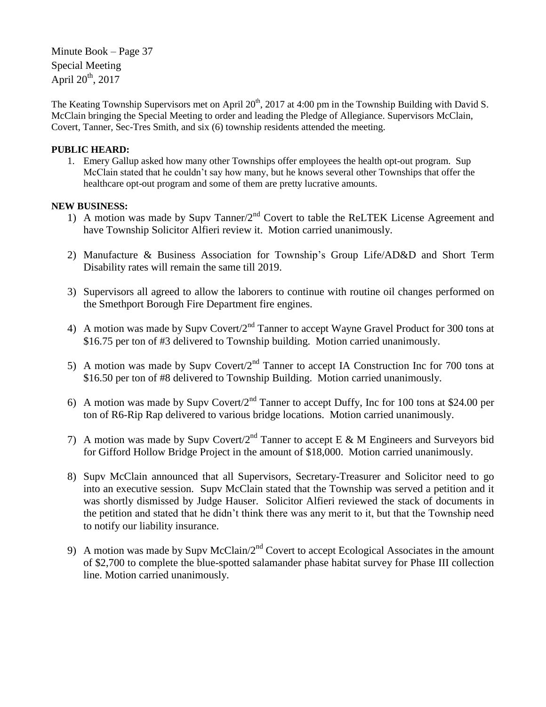Minute Book – Page 37 Special Meeting April  $20^{th}$ ,  $2017$ 

The Keating Township Supervisors met on April  $20<sup>th</sup>$ ,  $2017$  at 4:00 pm in the Township Building with David S. McClain bringing the Special Meeting to order and leading the Pledge of Allegiance. Supervisors McClain, Covert, Tanner, Sec-Tres Smith, and six (6) township residents attended the meeting.

## **PUBLIC HEARD:**

1. Emery Gallup asked how many other Townships offer employees the health opt-out program. Sup McClain stated that he couldn't say how many, but he knows several other Townships that offer the healthcare opt-out program and some of them are pretty lucrative amounts.

## **NEW BUSINESS:**

- 1) A motion was made by Supv Tanner/2<sup>nd</sup> Covert to table the ReLTEK License Agreement and have Township Solicitor Alfieri review it. Motion carried unanimously.
- 2) Manufacture & Business Association for Township's Group Life/AD&D and Short Term Disability rates will remain the same till 2019.
- 3) Supervisors all agreed to allow the laborers to continue with routine oil changes performed on the Smethport Borough Fire Department fire engines.
- 4) A motion was made by Supv Covert/ $2<sup>nd</sup>$  Tanner to accept Wayne Gravel Product for 300 tons at \$16.75 per ton of #3 delivered to Township building. Motion carried unanimously.
- 5) A motion was made by Supv Covert/ $2<sup>nd</sup>$  Tanner to accept IA Construction Inc for 700 tons at \$16.50 per ton of #8 delivered to Township Building. Motion carried unanimously.
- 6) A motion was made by Supv Covert/2<sup>nd</sup> Tanner to accept Duffy, Inc for 100 tons at \$24.00 per ton of R6-Rip Rap delivered to various bridge locations. Motion carried unanimously.
- 7) A motion was made by Supv Covert/2<sup>nd</sup> Tanner to accept E & M Engineers and Surveyors bid for Gifford Hollow Bridge Project in the amount of \$18,000. Motion carried unanimously.
- 8) Supv McClain announced that all Supervisors, Secretary-Treasurer and Solicitor need to go into an executive session. Supv McClain stated that the Township was served a petition and it was shortly dismissed by Judge Hauser. Solicitor Alfieri reviewed the stack of documents in the petition and stated that he didn't think there was any merit to it, but that the Township need to notify our liability insurance.
- 9) A motion was made by Supy McClain/ $2<sup>nd</sup>$  Covert to accept Ecological Associates in the amount of \$2,700 to complete the blue-spotted salamander phase habitat survey for Phase III collection line. Motion carried unanimously.